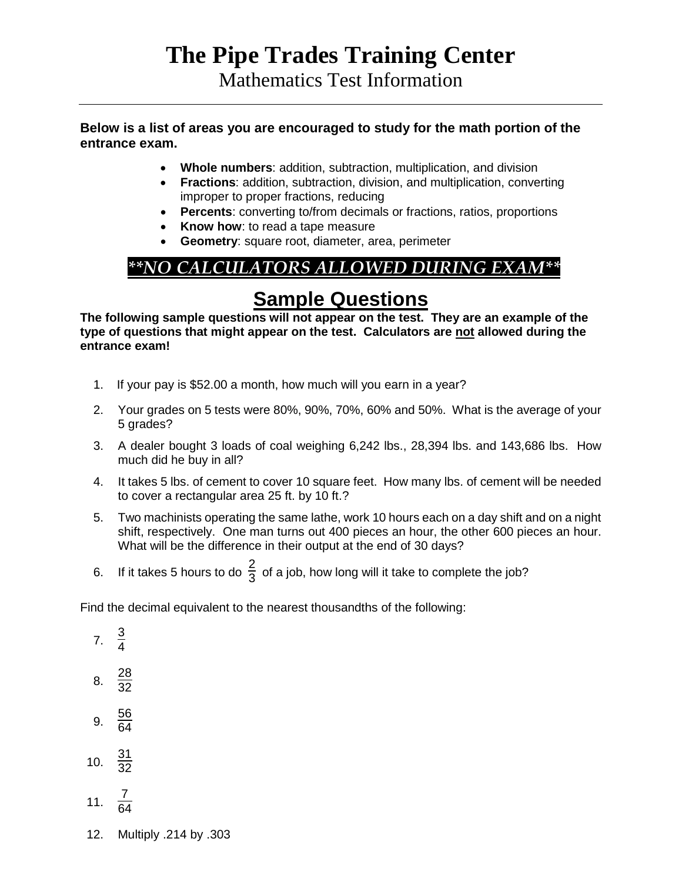# **The Pipe Trades Training Center**

Mathematics Test Information

#### **Below is a list of areas you are encouraged to study for the math portion of the entrance exam.**

- **Whole numbers**: addition, subtraction, multiplication, and division
- **Fractions**: addition, subtraction, division, and multiplication, converting improper to proper fractions, reducing
- **Percents**: converting to/from decimals or fractions, ratios, proportions
- **Know how**: to read a tape measure
- **Geometry**: square root, diameter, area, perimeter

## *\*\*NO CALCULATORS ALLOWED DURING EXAM\*\**

### **Sample Questions**

**The following sample questions will not appear on the test. They are an example of the type of questions that might appear on the test. Calculators are not allowed during the entrance exam!**

- 1. If your pay is \$52.00 a month, how much will you earn in a year?
- 2. Your grades on 5 tests were 80%, 90%, 70%, 60% and 50%. What is the average of your 5 grades?
- 3. A dealer bought 3 loads of coal weighing 6,242 lbs., 28,394 lbs. and 143,686 lbs. How much did he buy in all?
- 4. It takes 5 lbs. of cement to cover 10 square feet. How many lbs. of cement will be needed to cover a rectangular area 25 ft. by 10 ft.?
- 5. Two machinists operating the same lathe, work 10 hours each on a day shift and on a night shift, respectively. One man turns out 400 pieces an hour, the other 600 pieces an hour. What will be the difference in their output at the end of 30 days?
- 6. If it takes 5 hours to do  $\frac{2}{3}$  of a job, how long will it take to complete the job?

Find the decimal equivalent to the nearest thousandths of the following:

- 7.  $\frac{3}{4}$
- 
- 8.  $\frac{28}{32}$
- 9.  $\frac{56}{64}$
- 10.  $\frac{31}{32}$
- $11.$  $\frac{7}{64}$
- 12. Multiply .214 by .303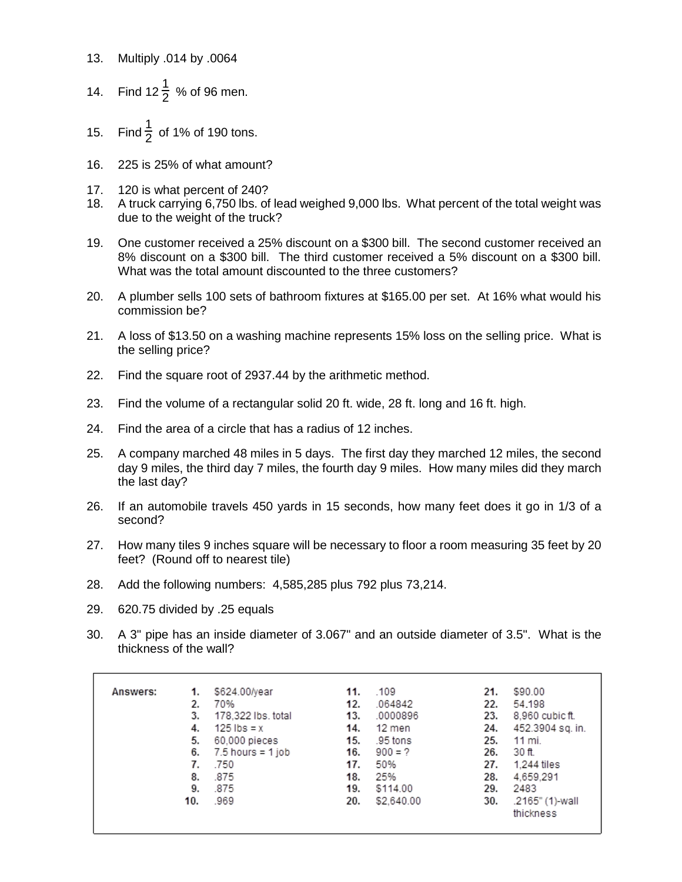- 13. Multiply .014 by .0064
- 14. Find 12 $\frac{1}{2}$  % of 96 men.
- 15. Find  $\frac{1}{2}$  of 1% of 190 tons.
- 16. 225 is 25% of what amount?
- 17. 120 is what percent of 240?
- 18. A truck carrying 6,750 lbs. of lead weighed 9,000 lbs. What percent of the total weight was due to the weight of the truck?
- 19. One customer received a 25% discount on a \$300 bill. The second customer received an 8% discount on a \$300 bill. The third customer received a 5% discount on a \$300 bill. What was the total amount discounted to the three customers?
- 20. A plumber sells 100 sets of bathroom fixtures at \$165.00 per set. At 16% what would his commission be?
- 21. A loss of \$13.50 on a washing machine represents 15% loss on the selling price. What is the selling price?
- 22. Find the square root of 2937.44 by the arithmetic method.
- 23. Find the volume of a rectangular solid 20 ft. wide, 28 ft. long and 16 ft. high.
- 24. Find the area of a circle that has a radius of 12 inches.
- 25. A company marched 48 miles in 5 days. The first day they marched 12 miles, the second day 9 miles, the third day 7 miles, the fourth day 9 miles. How many miles did they march the last day?
- 26. If an automobile travels 450 yards in 15 seconds, how many feet does it go in 1/3 of a second?
- 27. How many tiles 9 inches square will be necessary to floor a room measuring 35 feet by 20 feet? (Round off to nearest tile)
- 28. Add the following numbers: 4,585,285 plus 792 plus 73,214.
- 29. 620.75 divided by .25 equals
- 30. A 3" pipe has an inside diameter of 3.067" and an outside diameter of 3.5". What is the thickness of the wall?

| Answers: | 1.  | \$624.00/year       | 11. | .109       | 21. | \$90.00          |
|----------|-----|---------------------|-----|------------|-----|------------------|
|          | 2.  | 70%                 | 12. | .064842    | 22. | 54.198           |
|          | 3.  | 178.322 lbs. total  | 13. | .0000896   | 23. | 8.960 cubic ft.  |
|          | 4.  | $125$ lbs = x       | 14. | 12 men     | 24. | 452.3904 sq. in. |
|          | 5.  | 60,000 pieces       | 15. | .95 tons   | 25. | 11 mi.           |
|          | 6.  | $7.5$ hours = 1 job | 16. | $900 = ?$  | 26. | 30 ft.           |
|          | 7.  | .750                | 17. | 50%        | 27. | 1.244 tiles      |
|          | 8.  | .875                | 18. | 25%        | 28. | 4.659.291        |
|          | 9.  | .875                | 19. | \$114.00   | 29. | 2483             |
|          | 10. | .969                | 20. | \$2,640.00 | 30. | .2165" (1)-wall  |
|          |     |                     |     |            |     | thickness        |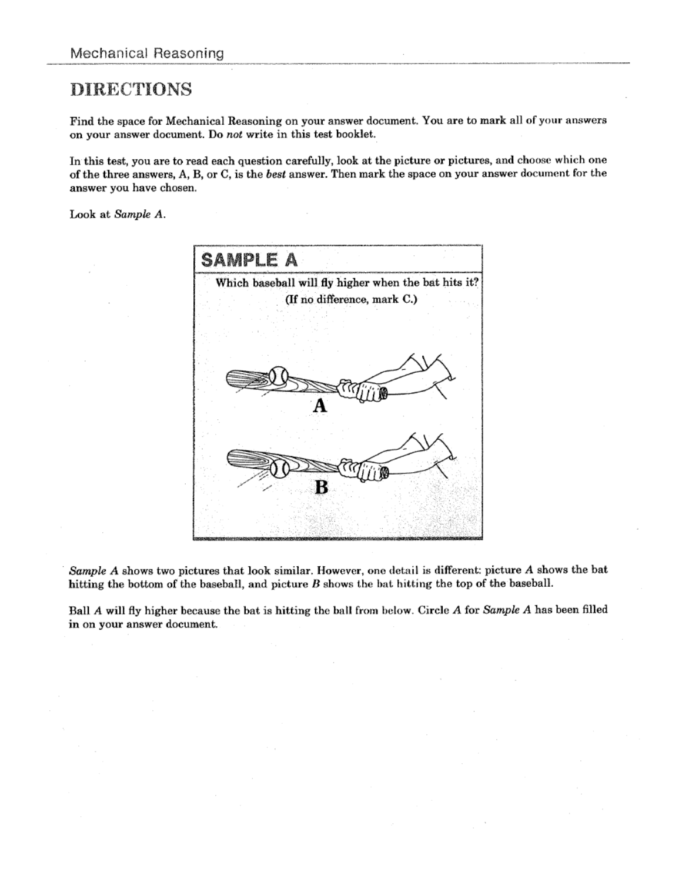#### **DIRECTIONS**

Find the space for Mechanical Reasoning on your answer document. You are to mark all of your answers on your answer document. Do not write in this test booklet.

In this test, you are to read each question carefully, look at the picture or pictures, and choose which one of the three answers, A, B, or C, is the best answer. Then mark the space on your answer document for the answer you have chosen.

Look at Sample A.



Sample A shows two pictures that look similar. However, one detail is different: picture A shows the bat hitting the bottom of the baseball, and picture  $B$  shows the bat hitting the top of the baseball.

Ball A will fly higher because the bat is hitting the ball from below. Circle A for Sample A has been filled in on your answer document.